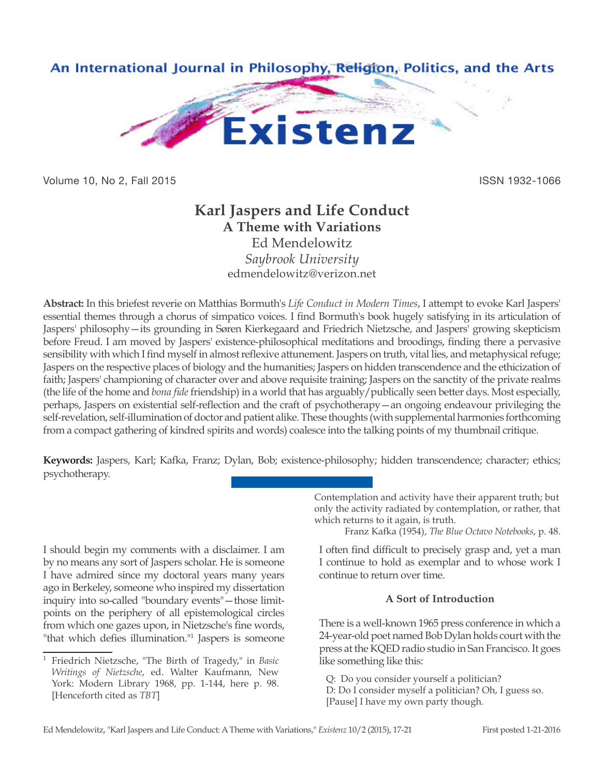

Volume 10, No 2, Fall 2015 **ISSN 1932-1066** 

# **Karl Jaspers and Life Conduct A Theme with Variations**

Ed Mendelowitz *Saybrook University* edmendelowitz@verizon.net

**Abstract:** In this briefest reverie on Matthias Bormuth's *Life Conduct in Modern Times*, I attempt to evoke Karl Jaspers' essential themes through a chorus of simpatico voices. I find Bormuth's book hugely satisfying in its articulation of Jaspers' philosophy—its grounding in Søren Kierkegaard and Friedrich Nietzsche, and Jaspers' growing skepticism before Freud. I am moved by Jaspers' existence-philosophical meditations and broodings, finding there a pervasive sensibility with which I find myself in almost reflexive attunement. Jaspers on truth, vital lies, and metaphysical refuge; Jaspers on the respective places of biology and the humanities; Jaspers on hidden transcendence and the ethicization of faith; Jaspers' championing of character over and above requisite training; Jaspers on the sanctity of the private realms (the life of the home and *bona fide* friendship) in a world that has arguably/publically seen better days. Most especially, perhaps, Jaspers on existential self-reflection and the craft of psychotherapy—an ongoing endeavour privileging the self-revelation, self-illumination of doctor and patient alike. These thoughts (with supplemental harmonies forthcoming from a compact gathering of kindred spirits and words) coalesce into the talking points of my thumbnail critique.

**Keywords:** Jaspers, Karl; Kafka, Franz; Dylan, Bob; existence-philosophy; hidden transcendence; character; ethics; psychotherapy.

I should begin my comments with a disclaimer. I am by no means any sort of Jaspers scholar. He is someone I have admired since my doctoral years many years ago in Berkeley, someone who inspired my dissertation inquiry into so-called "boundary events"—those limitpoints on the periphery of all epistemological circles from which one gazes upon, in Nietzsche's fine words, "that which defies illumination."1 Jaspers is someone Contemplation and activity have their apparent truth; but only the activity radiated by contemplation, or rather, that which returns to it again, is truth.

Franz Kafka (1954), *The Blue Octavo Notebooks*, p. 48.

I often find difficult to precisely grasp and, yet a man I continue to hold as exemplar and to whose work I continue to return over time.

## **A Sort of Introduction**

There is a well-known 1965 press conference in which a 24-year-old poet named Bob Dylan holds court with the press at the KQED radio studio in San Francisco. It goes like something like this:

Q: Do you consider yourself a politician? D: Do I consider myself a politician? Oh, I guess so. [Pause] I have my own party though.

<sup>1</sup> Friedrich Nietzsche, "The Birth of Tragedy," in *Basic Writings of Nietzsche*, ed. Walter Kaufmann, New York: Modern Library 1968, pp. 1-144, here p. 98. [Henceforth cited as *TBT*]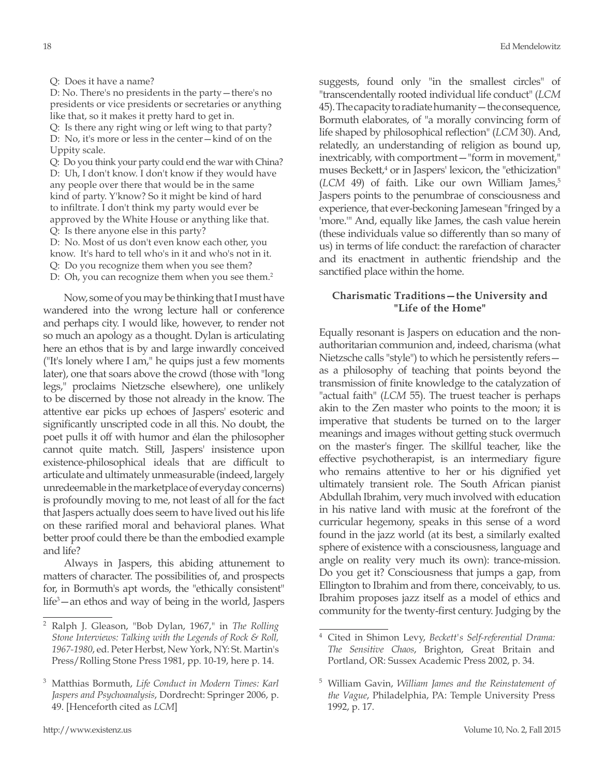#### Q: Does it have a name?

D: No. There's no presidents in the party—there's no presidents or vice presidents or secretaries or anything like that, so it makes it pretty hard to get in. Q: Is there any right wing or left wing to that party?

D: No, it's more or less in the center—kind of on the Uppity scale.

Q: Do you think your party could end the war with China? D: Uh, I don't know. I don't know if they would have any people over there that would be in the same kind of party. Y'know? So it might be kind of hard to infiltrate. I don't think my party would ever be approved by the White House or anything like that. Q: Is there anyone else in this party?

D: No. Most of us don't even know each other, you

know. It's hard to tell who's in it and who's not in it.

Q: Do you recognize them when you see them?

D: Oh, you can recognize them when you see them.<sup>2</sup>

Now, some of you may be thinking that I must have wandered into the wrong lecture hall or conference and perhaps city. I would like, however, to render not so much an apology as a thought. Dylan is articulating here an ethos that is by and large inwardly conceived ("It's lonely where I am," he quips just a few moments later), one that soars above the crowd (those with "long legs," proclaims Nietzsche elsewhere), one unlikely to be discerned by those not already in the know. The attentive ear picks up echoes of Jaspers' esoteric and significantly unscripted code in all this. No doubt, the poet pulls it off with humor and élan the philosopher cannot quite match. Still, Jaspers' insistence upon existence-philosophical ideals that are difficult to articulate and ultimately unmeasurable (indeed, largely unredeemable in the marketplace of everyday concerns) is profoundly moving to me, not least of all for the fact that Jaspers actually does seem to have lived out his life on these rarified moral and behavioral planes. What better proof could there be than the embodied example and life?

Always in Jaspers, this abiding attunement to matters of character. The possibilities of, and prospects for, in Bormuth's apt words, the "ethically consistent" life3 —an ethos and way of being in the world, Jaspers

suggests, found only "in the smallest circles" of "transcendentally rooted individual life conduct" (*LCM* 45). The capacity to radiate humanity—the consequence, Bormuth elaborates, of "a morally convincing form of life shaped by philosophical reflection" (*LCM* 30). And, relatedly, an understanding of religion as bound up, inextricably, with comportment—"form in movement," muses Beckett,<sup>4</sup> or in Jaspers' lexicon, the "ethicization" (*LCM* 49) of faith. Like our own William James,<sup>5</sup> Jaspers points to the penumbrae of consciousness and experience, that ever-beckoning Jamesean "fringed by a 'more.'" And, equally like James, the cash value herein (these individuals value so differently than so many of us) in terms of life conduct: the rarefaction of character and its enactment in authentic friendship and the sanctified place within the home.

## **Charismatic Traditions—the University and "Life of the Home"**

Equally resonant is Jaspers on education and the nonauthoritarian communion and, indeed, charisma (what Nietzsche calls "style") to which he persistently refers as a philosophy of teaching that points beyond the transmission of finite knowledge to the catalyzation of "actual faith" (*LCM* 55). The truest teacher is perhaps akin to the Zen master who points to the moon; it is imperative that students be turned on to the larger meanings and images without getting stuck overmuch on the master's finger. The skillful teacher, like the effective psychotherapist, is an intermediary figure who remains attentive to her or his dignified yet ultimately transient role. The South African pianist Abdullah Ibrahim, very much involved with education in his native land with music at the forefront of the curricular hegemony, speaks in this sense of a word found in the jazz world (at its best, a similarly exalted sphere of existence with a consciousness, language and angle on reality very much its own): trance-mission. Do you get it? Consciousness that jumps a gap, from Ellington to Ibrahim and from there, conceivably, to us. Ibrahim proposes jazz itself as a model of ethics and community for the twenty-first century. Judging by the

<sup>2</sup> Ralph J. Gleason, "Bob Dylan, 1967," in *The Rolling Stone Interviews: Talking with the Legends of Rock & Roll, 1967-1980*, ed. Peter Herbst, New York, NY: St. Martin's Press/Rolling Stone Press 1981, pp. 10-19, here p. 14.

<sup>3</sup> Matthias Bormuth, *Life Conduct in Modern Times: Karl Jaspers and Psychoanalysis*, Dordrecht: Springer 2006, p. 49. [Henceforth cited as *LCM*]

<sup>4</sup> Cited in Shimon Levy, *Beckett's Self-referential Drama: The Sensitive Chaos*, Brighton, Great Britain and Portland, OR: Sussex Academic Press 2002, p. 34.

<sup>5</sup> William Gavin, *William James and the Reinstatement of the Vague*, Philadelphia, PA: Temple University Press 1992, p. 17.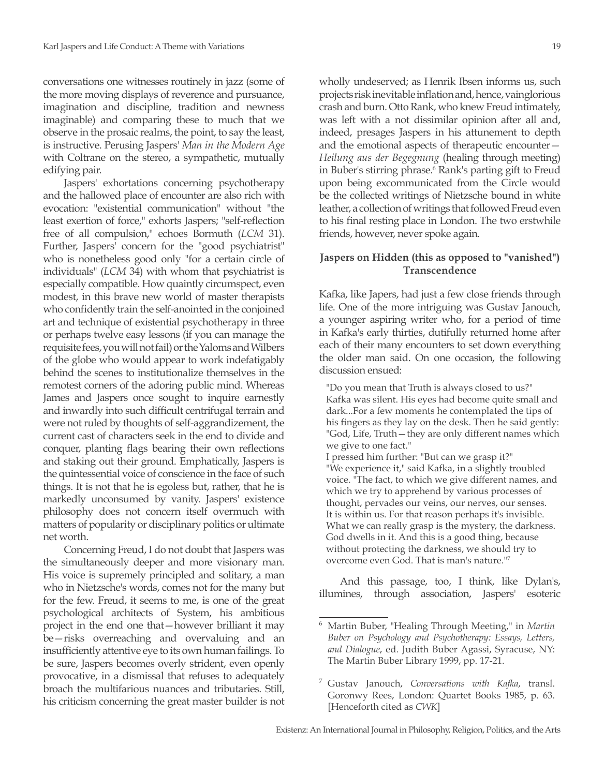conversations one witnesses routinely in jazz (some of the more moving displays of reverence and pursuance, imagination and discipline, tradition and newness imaginable) and comparing these to much that we observe in the prosaic realms, the point, to say the least, is instructive. Perusing Jaspers' *Man in the Modern Age*  with Coltrane on the stereo, a sympathetic, mutually edifying pair.

Jaspers' exhortations concerning psychotherapy and the hallowed place of encounter are also rich with evocation: "existential communication" without "the least exertion of force," exhorts Jaspers; "self-reflection free of all compulsion," echoes Bormuth (*LCM* 31). Further, Jaspers' concern for the "good psychiatrist" who is nonetheless good only "for a certain circle of individuals" (*LCM* 34) with whom that psychiatrist is especially compatible. How quaintly circumspect, even modest, in this brave new world of master therapists who confidently train the self-anointed in the conjoined art and technique of existential psychotherapy in three or perhaps twelve easy lessons (if you can manage the requisite fees, you will not fail) or the Yaloms and Wilbers of the globe who would appear to work indefatigably behind the scenes to institutionalize themselves in the remotest corners of the adoring public mind. Whereas James and Jaspers once sought to inquire earnestly and inwardly into such difficult centrifugal terrain and were not ruled by thoughts of self-aggrandizement, the current cast of characters seek in the end to divide and conquer, planting flags bearing their own reflections and staking out their ground. Emphatically, Jaspers is the quintessential voice of conscience in the face of such things. It is not that he is egoless but, rather, that he is markedly unconsumed by vanity. Jaspers' existence philosophy does not concern itself overmuch with matters of popularity or disciplinary politics or ultimate net worth.

Concerning Freud, I do not doubt that Jaspers was the simultaneously deeper and more visionary man. His voice is supremely principled and solitary, a man who in Nietzsche's words, comes not for the many but for the few. Freud, it seems to me, is one of the great psychological architects of System, his ambitious project in the end one that—however brilliant it may be—risks overreaching and overvaluing and an insufficiently attentive eye to its own human failings. To be sure, Jaspers becomes overly strident, even openly provocative, in a dismissal that refuses to adequately broach the multifarious nuances and tributaries. Still, his criticism concerning the great master builder is not

wholly undeserved; as Henrik Ibsen informs us, such projects risk inevitable inflation and, hence, vainglorious crash and burn. Otto Rank, who knew Freud intimately, was left with a not dissimilar opinion after all and, indeed, presages Jaspers in his attunement to depth and the emotional aspects of therapeutic encounter— *Heilung aus der Begegnung* (healing through meeting) in Buber's stirring phrase.<sup>6</sup> Rank's parting gift to Freud upon being excommunicated from the Circle would be the collected writings of Nietzsche bound in white leather, a collection of writings that followed Freud even to his final resting place in London. The two erstwhile friends, however, never spoke again.

## **Jaspers on Hidden (this as opposed to "vanished") Transcendence**

Kafka, like Japers, had just a few close friends through life. One of the more intriguing was Gustav Janouch, a younger aspiring writer who, for a period of time in Kafka's early thirties, dutifully returned home after each of their many encounters to set down everything the older man said. On one occasion, the following discussion ensued:

- "Do you mean that Truth is always closed to us?" Kafka was silent. His eyes had become quite small and dark...For a few moments he contemplated the tips of his fingers as they lay on the desk. Then he said gently: "God, Life, Truth—they are only different names which we give to one fact."
- I pressed him further: "But can we grasp it?" "We experience it," said Kafka, in a slightly troubled voice. "The fact, to which we give different names, and which we try to apprehend by various processes of thought, pervades our veins, our nerves, our senses. It is within us. For that reason perhaps it's invisible. What we can really grasp is the mystery, the darkness. God dwells in it. And this is a good thing, because without protecting the darkness, we should try to overcome even God. That is man's nature."7

And this passage, too, I think, like Dylan's, illumines, through association, Jaspers' esoteric

<sup>6</sup> Martin Buber, "Healing Through Meeting," in *Martin Buber on Psychology and Psychotherapy: Essays, Letters, and Dialogue*, ed. Judith Buber Agassi, Syracuse, NY: The Martin Buber Library 1999, pp. 17-21.

<sup>7</sup> Gustav Janouch, *Conversations with Kafka*, transl. Goronwy Rees, London: Quartet Books 1985, p. 63. [Henceforth cited as *CWK*]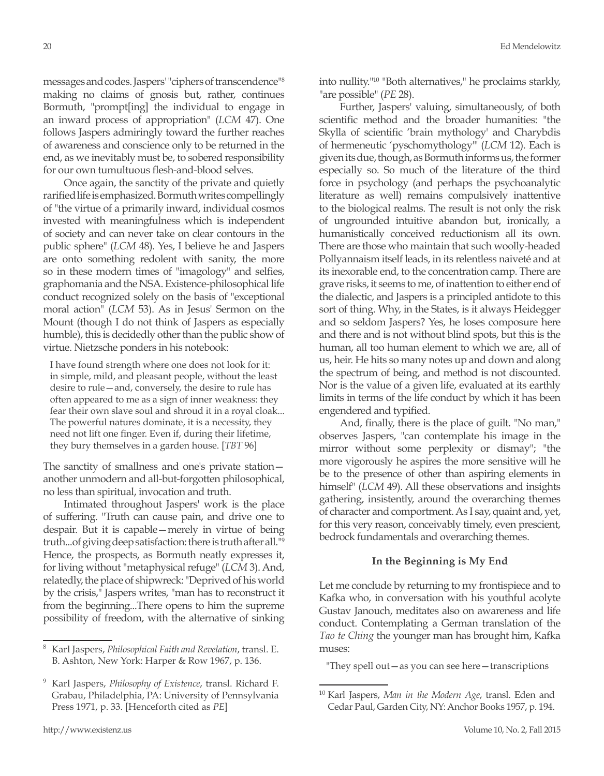messages and codes. Jaspers' "ciphers of transcendence"8 making no claims of gnosis but, rather, continues Bormuth, "prompt[ing] the individual to engage in an inward process of appropriation" (*LCM* 47). One follows Jaspers admiringly toward the further reaches of awareness and conscience only to be returned in the end, as we inevitably must be, to sobered responsibility for our own tumultuous flesh-and-blood selves.

Once again, the sanctity of the private and quietly rarified life is emphasized. Bormuth writes compellingly of "the virtue of a primarily inward, individual cosmos invested with meaningfulness which is independent of society and can never take on clear contours in the public sphere" (*LCM* 48). Yes, I believe he and Jaspers are onto something redolent with sanity, the more so in these modern times of "imagology" and selfies, graphomania and the NSA. Existence-philosophical life conduct recognized solely on the basis of "exceptional moral action" (*LCM* 53). As in Jesus' Sermon on the Mount (though I do not think of Jaspers as especially humble), this is decidedly other than the public show of virtue. Nietzsche ponders in his notebook:

I have found strength where one does not look for it: in simple, mild, and pleasant people, without the least desire to rule—and, conversely, the desire to rule has often appeared to me as a sign of inner weakness: they fear their own slave soul and shroud it in a royal cloak... The powerful natures dominate, it is a necessity, they need not lift one finger. Even if, during their lifetime, they bury themselves in a garden house. [*TBT* 96]

The sanctity of smallness and one's private station another unmodern and all-but-forgotten philosophical, no less than spiritual, invocation and truth.

Intimated throughout Jaspers' work is the place of suffering. "Truth can cause pain, and drive one to despair. But it is capable—merely in virtue of being truth...of giving deep satisfaction: there is truth after all."9 Hence, the prospects, as Bormuth neatly expresses it, for living without "metaphysical refuge" (*LCM* 3). And, relatedly, the place of shipwreck: "Deprived of his world by the crisis," Jaspers writes, "man has to reconstruct it from the beginning...There opens to him the supreme possibility of freedom, with the alternative of sinking into nullity."10 "Both alternatives," he proclaims starkly, "are possible" (*PE* 28).

Further, Jaspers' valuing, simultaneously, of both scientific method and the broader humanities: "the Skylla of scientific 'brain mythology' and Charybdis of hermeneutic 'pyschomythology'" (*LCM* 12). Each is given its due, though, as Bormuth informs us, the former especially so. So much of the literature of the third force in psychology (and perhaps the psychoanalytic literature as well) remains compulsively inattentive to the biological realms. The result is not only the risk of ungrounded intuitive abandon but, ironically, a humanistically conceived reductionism all its own. There are those who maintain that such woolly-headed Pollyannaism itself leads, in its relentless naiveté and at its inexorable end, to the concentration camp. There are grave risks, it seems to me, of inattention to either end of the dialectic, and Jaspers is a principled antidote to this sort of thing. Why, in the States, is it always Heidegger and so seldom Jaspers? Yes, he loses composure here and there and is not without blind spots, but this is the human, all too human element to which we are, all of us, heir. He hits so many notes up and down and along the spectrum of being, and method is not discounted. Nor is the value of a given life, evaluated at its earthly limits in terms of the life conduct by which it has been engendered and typified.

And, finally, there is the place of guilt. "No man," observes Jaspers, "can contemplate his image in the mirror without some perplexity or dismay"; "the more vigorously he aspires the more sensitive will he be to the presence of other than aspiring elements in himself" (*LCM* 49). All these observations and insights gathering, insistently, around the overarching themes of character and comportment. As I say, quaint and, yet, for this very reason, conceivably timely, even prescient, bedrock fundamentals and overarching themes.

#### **In the Beginning is My End**

Let me conclude by returning to my frontispiece and to Kafka who, in conversation with his youthful acolyte Gustav Janouch, meditates also on awareness and life conduct. Contemplating a German translation of the *Tao te Ching* the younger man has brought him, Kafka muses:

"They spell out—as you can see here—transcriptions

<sup>8</sup> Karl Jaspers, *Philosophical Faith and Revelation*, transl. E. B. Ashton, New York: Harper & Row 1967, p. 136.

<sup>9</sup> Karl Jaspers, *Philosophy of Existence*, transl. Richard F. Grabau, Philadelphia, PA: University of Pennsylvania Press 1971, p. 33. [Henceforth cited as *PE*]

<sup>10</sup> Karl Jaspers, *Man in the Modern Age*, transl. Eden and Cedar Paul, Garden City, NY: Anchor Books 1957, p. 194.